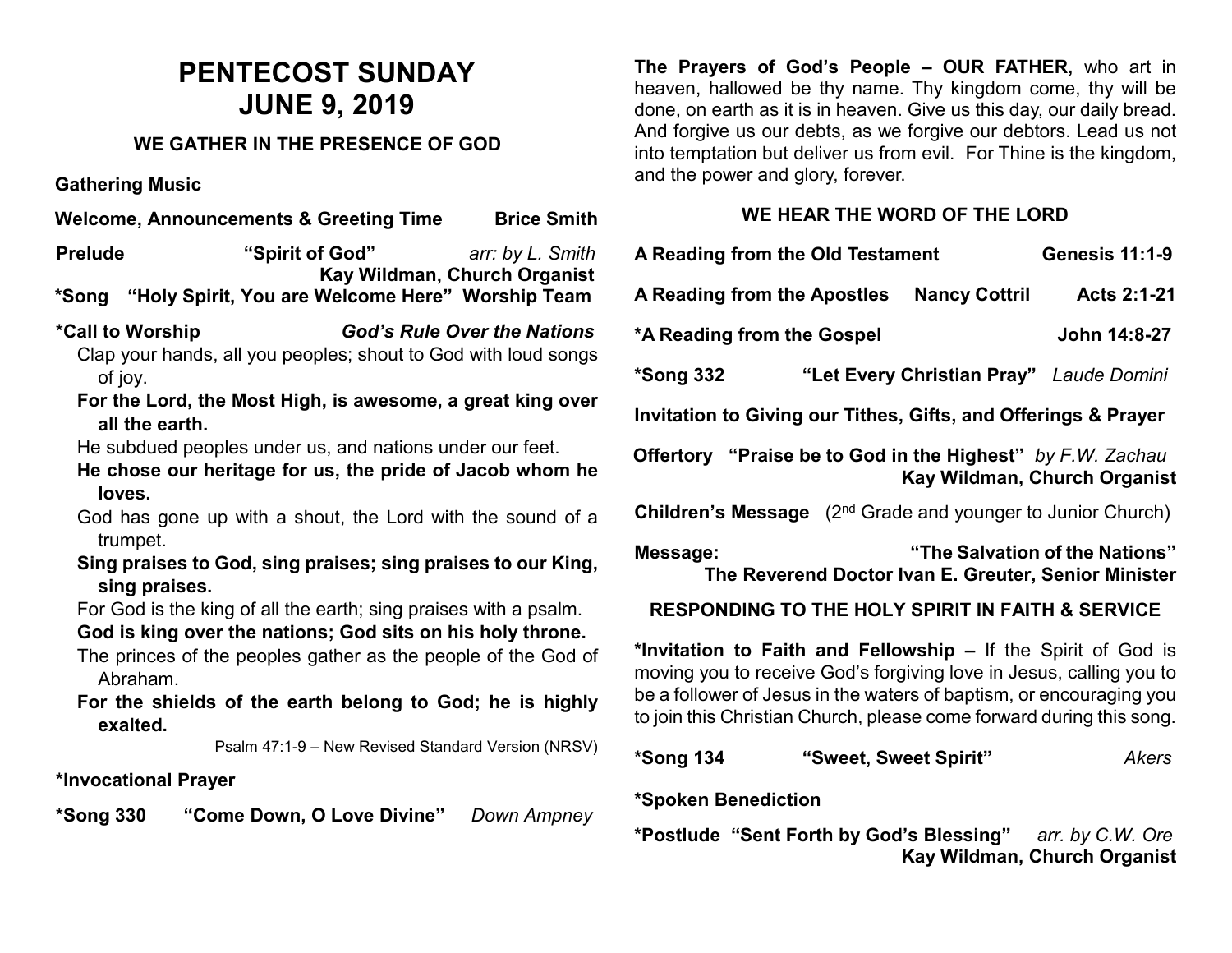# **PENTECOST SUNDAY JUNE 9, 2019**

#### **WE GATHER IN THE PRESENCE OF GOD**

**Gathering Music**

**Welcome, Announcements & Greeting Time Brice Smith** 

**Prelude "Spirit of God"** *arr: by L. Smith*  **Kay Wildman, Church Organist \*Song "Holy Spirit, You are Welcome Here" Worship Team**

**\*Call to Worship** *God's Rule Over the Nations* Clap your hands, all you peoples; shout to God with loud songs of joy.

**For the Lord, the Most High, is awesome, a great king over all the earth.**

He subdued peoples under us, and nations under our feet.

**He chose our heritage for us, the pride of Jacob whom he loves.**

God has gone up with a shout, the Lord with the sound of a trumpet.

**Sing praises to God, sing praises; sing praises to our King, sing praises.**

For God is the king of all the earth; sing praises with a psalm.

# **God is king over the nations; God sits on his holy throne.**

The princes of the peoples gather as the people of the God of Abraham.

**For the shields of the earth belong to God; he is highly exalted.**

Psalm 47:1-9 – New Revised Standard Version (NRSV)

# **\*Invocational Prayer**

**\*Song 330 "Come Down, O Love Divine"** *Down Ampney*

**The Prayers of God's People – OUR FATHER,** who art in heaven, hallowed be thy name. Thy kingdom come, thy will be done, on earth as it is in heaven. Give us this day, our daily bread. And forgive us our debts, as we forgive our debtors. Lead us not into temptation but deliver us from evil. For Thine is the kingdom, and the power and glory, forever.

#### **WE HEAR THE WORD OF THE LORD**

| A Reading from the Old Testament                                                                   |  | <b>Genesis 11:1-9</b> |                                               |  |
|----------------------------------------------------------------------------------------------------|--|-----------------------|-----------------------------------------------|--|
| A Reading from the Apostles                                                                        |  | <b>Nancy Cottril</b>  | Acts 2:1-21                                   |  |
| *A Reading from the Gospel                                                                         |  |                       | John 14:8-27                                  |  |
| *Song 332                                                                                          |  |                       | "Let Every Christian Pray" Laude Domini       |  |
| Invitation to Giving our Tithes, Gifts, and Offerings & Prayer                                     |  |                       |                                               |  |
| <b>Offertory</b> "Praise be to God in the Highest" by F.W. Zachau<br>Kay Wildman, Church Organist  |  |                       |                                               |  |
| <b>Children's Message</b> (2 <sup>nd</sup> Grade and younger to Junior Church)                     |  |                       |                                               |  |
| "The Salvation of the Nations"<br>Message:<br>The Reverend Doctor Ivan E. Greuter, Senior Minister |  |                       |                                               |  |
| <b>RESPONDING TO THE HOLY SPIRIT IN FAITH &amp; SERVICE</b>                                        |  |                       |                                               |  |
|                                                                                                    |  |                       | w to Faith and Fallawahin the Calul of Cadia. |  |

**\*Invitation to Faith and Fellowship –** If the Spirit of God is moving you to receive God's forgiving love in Jesus, calling you to be a follower of Jesus in the waters of baptism, or encouraging you to join this Christian Church, please come forward during this song.

| *Song 134 | "Sweet, Sweet Spirit" | Akers |
|-----------|-----------------------|-------|
|-----------|-----------------------|-------|

# **\*Spoken Benediction**

**\*Postlude "Sent Forth by God's Blessing"** *arr. by C.W. Ore* **Kay Wildman, Church Organist**